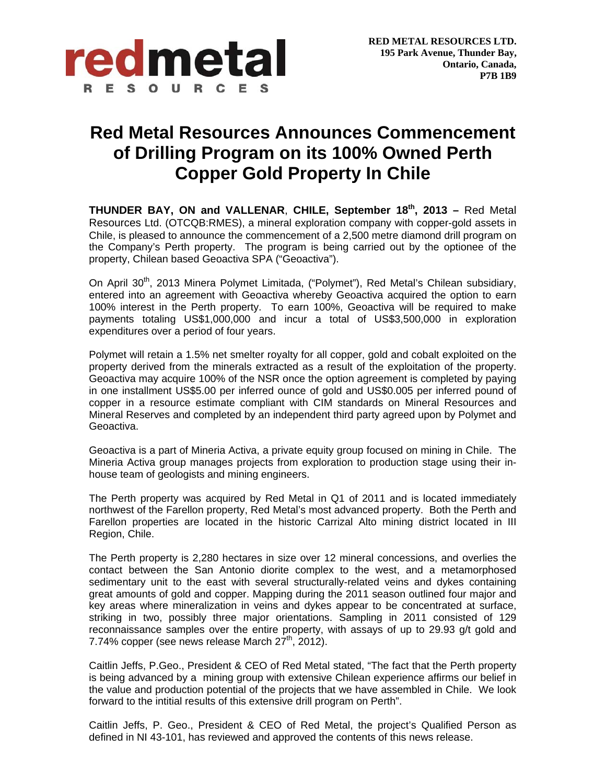

## **Red Metal Resources Announces Commencement of Drilling Program on its 100% Owned Perth Copper Gold Property In Chile**

**THUNDER BAY, ON and VALLENAR**, **CHILE, September 18th, 2013 –** Red Metal Resources Ltd. (OTCQB:RMES), a mineral exploration company with copper-gold assets in Chile, is pleased to announce the commencement of a 2,500 metre diamond drill program on the Company's Perth property. The program is being carried out by the optionee of the property, Chilean based Geoactiva SPA ("Geoactiva").

On April 30<sup>th</sup>, 2013 Minera Polymet Limitada, ("Polymet"), Red Metal's Chilean subsidiary, entered into an agreement with Geoactiva whereby Geoactiva acquired the option to earn 100% interest in the Perth property. To earn 100%, Geoactiva will be required to make payments totaling US\$1,000,000 and incur a total of US\$3,500,000 in exploration expenditures over a period of four years.

Polymet will retain a 1.5% net smelter royalty for all copper, gold and cobalt exploited on the property derived from the minerals extracted as a result of the exploitation of the property. Geoactiva may acquire 100% of the NSR once the option agreement is completed by paying in one installment US\$5.00 per inferred ounce of gold and US\$0.005 per inferred pound of copper in a resource estimate compliant with CIM standards on Mineral Resources and Mineral Reserves and completed by an independent third party agreed upon by Polymet and Geoactiva.

Geoactiva is a part of Mineria Activa, a private equity group focused on mining in Chile. The Mineria Activa group manages projects from exploration to production stage using their inhouse team of geologists and mining engineers.

The Perth property was acquired by Red Metal in Q1 of 2011 and is located immediately northwest of the Farellon property, Red Metal's most advanced property. Both the Perth and Farellon properties are located in the historic Carrizal Alto mining district located in III Region, Chile.

The Perth property is 2,280 hectares in size over 12 mineral concessions, and overlies the contact between the San Antonio diorite complex to the west, and a metamorphosed sedimentary unit to the east with several structurally-related veins and dykes containing great amounts of gold and copper. Mapping during the 2011 season outlined four major and key areas where mineralization in veins and dykes appear to be concentrated at surface, striking in two, possibly three major orientations. Sampling in 2011 consisted of 129 reconnaissance samples over the entire property, with assays of up to 29.93 g/t gold and 7.74% copper (see news release March  $27<sup>th</sup>$ , 2012).

Caitlin Jeffs, P.Geo., President & CEO of Red Metal stated, "The fact that the Perth property is being advanced by a mining group with extensive Chilean experience affirms our belief in the value and production potential of the projects that we have assembled in Chile. We look forward to the intitial results of this extensive drill program on Perth".

Caitlin Jeffs, P. Geo., President & CEO of Red Metal, the project's Qualified Person as defined in NI 43-101, has reviewed and approved the contents of this news release.